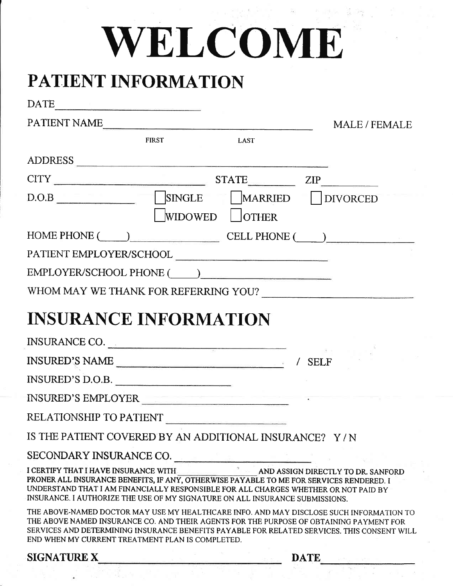## WELCOME

## PATIENT INFORMATION

| DATE                                                                                                                                                                                                                                                                                                                                  |                 |                    |
|---------------------------------------------------------------------------------------------------------------------------------------------------------------------------------------------------------------------------------------------------------------------------------------------------------------------------------------|-----------------|--------------------|
| PATIENT NAME                                                                                                                                                                                                                                                                                                                          |                 | <b>MALE/FEMALE</b> |
| <b>FIRST</b>                                                                                                                                                                                                                                                                                                                          | <b>LAST</b>     |                    |
| ADDRESS                                                                                                                                                                                                                                                                                                                               |                 |                    |
| $CITY$ $STATE$ $ZIP$ $ZIP$                                                                                                                                                                                                                                                                                                            |                 |                    |
| D.O.B SINGLE MARRIED DIVORCED                                                                                                                                                                                                                                                                                                         |                 |                    |
|                                                                                                                                                                                                                                                                                                                                       | WIDOWED   OTHER |                    |
| HOME PHONE (CONTROLL PHONE CELL PHONE (CONTROLL PHONE CONTROLL PHONE CONTROLL PHONE CONTROLL PHONE CONTROLL PHONE CONTROLL PHONE CONTROLL PHONE CONTROLL PHONE CONTROLL PHONE CONTROLL PHONE CONTROLL PHONE CONTROLL PHONE CON                                                                                                        |                 |                    |
|                                                                                                                                                                                                                                                                                                                                       |                 |                    |
|                                                                                                                                                                                                                                                                                                                                       |                 |                    |
|                                                                                                                                                                                                                                                                                                                                       |                 |                    |
| <b>INSURANCE INFORMATION</b>                                                                                                                                                                                                                                                                                                          |                 |                    |
| INSURANCE CO.                                                                                                                                                                                                                                                                                                                         |                 |                    |
|                                                                                                                                                                                                                                                                                                                                       |                 |                    |
| INSURED'S D.O.B.                                                                                                                                                                                                                                                                                                                      |                 |                    |
| INSURED'S EMPLOYER                                                                                                                                                                                                                                                                                                                    |                 |                    |
| RELATIONSHIP TO PATIENT                                                                                                                                                                                                                                                                                                               |                 |                    |
| IS THE PATIENT COVERED BY AN ADDITIONAL INSURANCE? Y/N                                                                                                                                                                                                                                                                                |                 |                    |
|                                                                                                                                                                                                                                                                                                                                       |                 |                    |
| PRONER ALL INSURANCE BENEFITS, IF ANY, OTHERWISE PAYABLE TO ME FOR SERVICES RENDERED. I<br>UNDERSTAND THAT I AM FINANCIALLY RESPONSIBLE FOR ALL CHARGES WHETHER OR NOT PAID BY<br>INSURANCE. I AUTHORIZE THE USE OF MY SIGNATURE ON ALL INSURANCE SUBMISSIONS.                                                                        |                 |                    |
| THE ABOVE-NAMED DOCTOR MAY USE MY HEALTHCARE INFO. AND MAY DISCLOSE SUCH INFORMATION TO<br>THE ABOVE NAMED INSURANCE CO. AND THEIR AGENTS FOR THE PURPOSE OF OBTAINING PAYMENT FOR<br>SERVICES AND DETERMINING INSURANCE BENEFITS PAYABLE FOR RELATED SERVICES. THIS CONSENT WILL<br>END WHEN MY CURRENT TREATMENT PLAN IS COMPLETED. |                 |                    |
| <b>SIGNATURE X</b>                                                                                                                                                                                                                                                                                                                    |                 | <b>DATE</b>        |